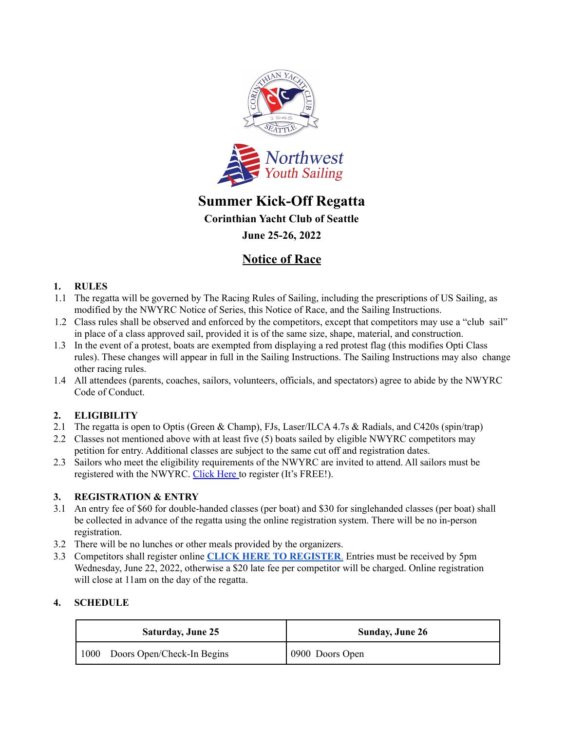

# **Summer Kick-Off Regatta**

**Corinthian Yacht Club of Seattle**

**June 25-26, 2022**

# **Notice of Race**

# **1. RULES**

- 1.1 The regatta will be governed by The Racing Rules of Sailing, including the prescriptions of US Sailing, as modified by the NWYRC Notice of Series, this Notice of Race, and the Sailing Instructions.
- 1.2 Class rules shall be observed and enforced by the competitors, except that competitors may use a "club sail" in place of a class approved sail, provided it is of the same size, shape, material, and construction.
- 1.3 In the event of a protest, boats are exempted from displaying a red protest flag (this modifies Opti Class rules). These changes will appear in full in the Sailing Instructions. The Sailing Instructions may also change other racing rules.

1.4 All attendees (parents, coaches, sailors, volunteers, officials, and spectators) agree to abide by the NWYRC Code of Conduct.

# **2. ELIGIBILITY**

- 2.1 The regatta is open to Optis (Green & Champ), FJs, Laser/ILCA 4.7s & Radials, and C420s (spin/trap)
- 2.2 Classes not mentioned above with at least five (5) boats sailed by eligible NWYRC competitors may petition for entry. Additional classes are subject to the same cut off and registration dates.
- 2.3 Sailors who meet the eligibility requirements of the NWYRC are invited to attend. All sailors must be registered with the NWYRC. Click Here to register (It's FREE!).

#### **3. REGISTRATION & ENTRY**

- 3.1 An entry fee of \$60 for double-handed classes (per boat) and \$30 for singlehanded classes (per boat) shall be collected in advance of the regatta using the online registration system. There will be no in-person registration.
- 3.2 There will be no lunches or other meals provided by the organizers.
- 3.3 Competitors shall register online **CLICK HERE TO [REGISTER](https://theclubspot.com/regatta/S4xnYVeCWB)**. Entries must be received by 5pm Wednesday, June 22, 2022, otherwise a \$20 late fee per competitor will be charged. Online registration will close at 11am on the day of the regatta.

#### **4. SCHEDULE**

| <b>Saturday, June 25</b>           | <b>Sunday, June 26</b> |
|------------------------------------|------------------------|
| Doors Open/Check-In Begins<br>1000 | 0900 Doors Open        |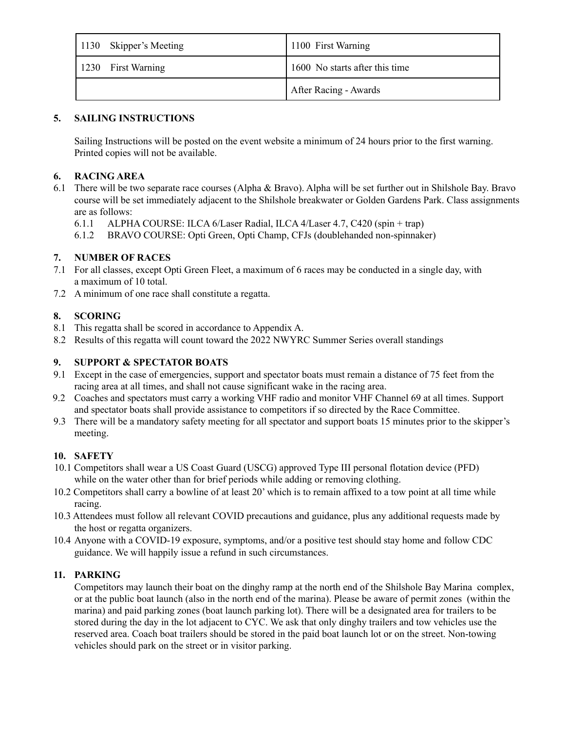| 1130 Skipper's Meeting | 1100 First Warning             |
|------------------------|--------------------------------|
| 1230 First Warning     | 1600 No starts after this time |
|                        | After Racing - Awards          |

### **5. SAILING INSTRUCTIONS**

Sailing Instructions will be posted on the event website a minimum of 24 hours prior to the first warning. Printed copies will not be available.

#### **6. RACING AREA**

- 6.1 There will be two separate race courses (Alpha & Bravo). Alpha will be set further out in Shilshole Bay. Bravo course will be set immediately adjacent to the Shilshole breakwater or Golden Gardens Park. Class assignments are as follows:
	- 6.1.1 ALPHA COURSE: ILCA 6/Laser Radial, ILCA 4/Laser 4.7, C420 (spin + trap)
	- 6.1.2 BRAVO COURSE: Opti Green, Opti Champ, CFJs (doublehanded non-spinnaker)

# **7. NUMBER OF RACES**

- 7.1 For all classes, except Opti Green Fleet, a maximum of 6 races may be conducted in a single day, with a maximum of 10 total.
- 7.2 A minimum of one race shall constitute a regatta.

# **8. SCORING**

- 8.1 This regatta shall be scored in accordance to Appendix A.
- 8.2 Results of this regatta will count toward the 2022 NWYRC Summer Series overall standings

### **9. SUPPORT & SPECTATOR BOATS**

- 9.1 Except in the case of emergencies, support and spectator boats must remain a distance of 75 feet from the racing area at all times, and shall not cause significant wake in the racing area.
- 9.2 Coaches and spectators must carry a working VHF radio and monitor VHF Channel 69 at all times. Support and spectator boats shall provide assistance to competitors if so directed by the Race Committee.
- 9.3 There will be a mandatory safety meeting for all spectator and support boats 15 minutes prior to the skipper's meeting.

#### **10. SAFETY**

- 10.1 Competitors shall wear a US Coast Guard (USCG) approved Type III personal flotation device (PFD) while on the water other than for brief periods while adding or removing clothing.
- 10.2 Competitors shall carry a bowline of at least 20' which is to remain affixed to a tow point at all time while racing.
- 10.3 Attendees must follow all relevant COVID precautions and guidance, plus any additional requests made by the host or regatta organizers.
- 10.4 Anyone with a COVID-19 exposure, symptoms, and/or a positive test should stay home and follow CDC guidance. We will happily issue a refund in such circumstances.

#### **11. PARKING**

Competitors may launch their boat on the dinghy ramp at the north end of the Shilshole Bay Marina complex, or at the public boat launch (also in the north end of the marina). Please be aware of permit zones (within the marina) and paid parking zones (boat launch parking lot). There will be a designated area for trailers to be stored during the day in the lot adjacent to CYC. We ask that only dinghy trailers and tow vehicles use the reserved area. Coach boat trailers should be stored in the paid boat launch lot or on the street. Non-towing vehicles should park on the street or in visitor parking.